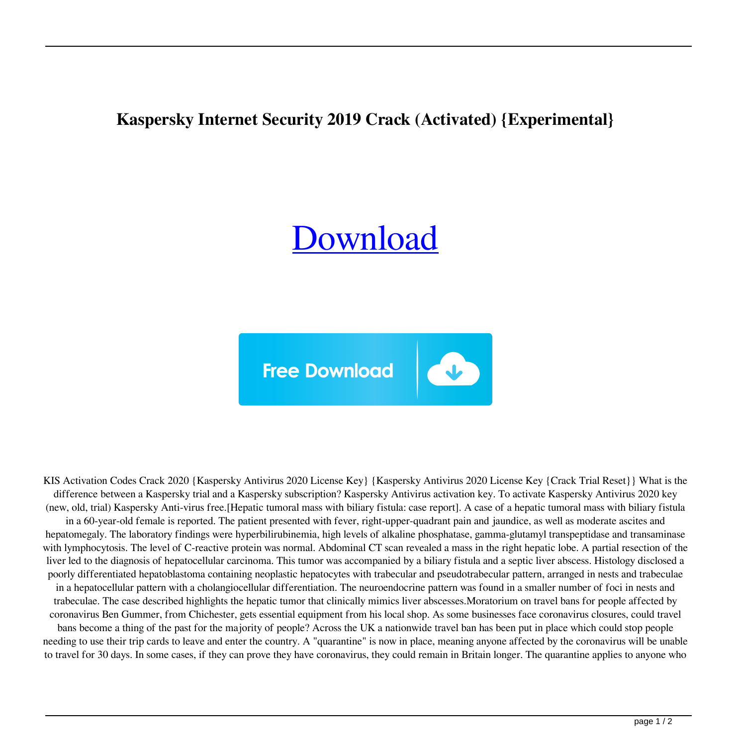## **Kaspersky Internet Security 2019 Crack (Activated) {Experimental}**

## [Download](https://byltly.com/2l1da7)



KIS Activation Codes Crack 2020 {Kaspersky Antivirus 2020 License Key} {Kaspersky Antivirus 2020 License Key {Crack Trial Reset}} What is the difference between a Kaspersky trial and a Kaspersky subscription? Kaspersky Antivirus activation key. To activate Kaspersky Antivirus 2020 key (new, old, trial) Kaspersky Anti-virus free.[Hepatic tumoral mass with biliary fistula: case report]. A case of a hepatic tumoral mass with biliary fistula in a 60-year-old female is reported. The patient presented with fever, right-upper-quadrant pain and jaundice, as well as moderate ascites and hepatomegaly. The laboratory findings were hyperbilirubinemia, high levels of alkaline phosphatase, gamma-glutamyl transpeptidase and transaminase with lymphocytosis. The level of C-reactive protein was normal. Abdominal CT scan revealed a mass in the right hepatic lobe. A partial resection of the liver led to the diagnosis of hepatocellular carcinoma. This tumor was accompanied by a biliary fistula and a septic liver abscess. Histology disclosed a poorly differentiated hepatoblastoma containing neoplastic hepatocytes with trabecular and pseudotrabecular pattern, arranged in nests and trabeculae in a hepatocellular pattern with a cholangiocellular differentiation. The neuroendocrine pattern was found in a smaller number of foci in nests and trabeculae. The case described highlights the hepatic tumor that clinically mimics liver abscesses.Moratorium on travel bans for people affected by coronavirus Ben Gummer, from Chichester, gets essential equipment from his local shop. As some businesses face coronavirus closures, could travel bans become a thing of the past for the majority of people? Across the UK a nationwide travel ban has been put in place which could stop people needing to use their trip cards to leave and enter the country. A "quarantine" is now in place, meaning anyone affected by the coronavirus will be unable to travel for 30 days. In some cases, if they can prove they have coronavirus, they could remain in Britain longer. The quarantine applies to anyone who